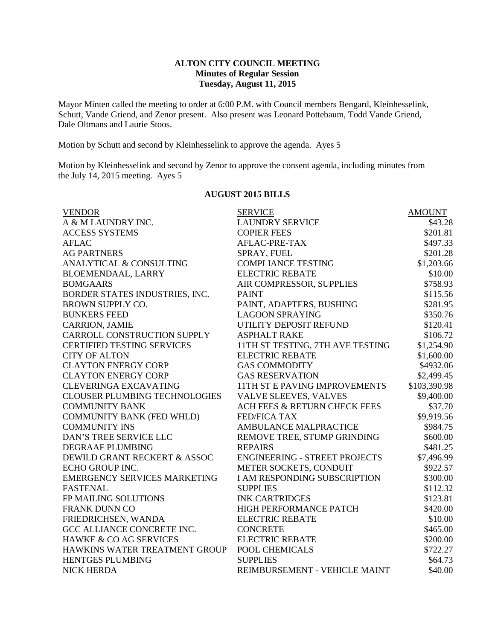## **ALTON CITY COUNCIL MEETING Minutes of Regular Session Tuesday, August 11, 2015**

Mayor Minten called the meeting to order at 6:00 P.M. with Council members Bengard, Kleinhesselink, Schutt, Vande Griend, and Zenor present. Also present was Leonard Pottebaum, Todd Vande Griend, Dale Oltmans and Laurie Stoos.

Motion by Schutt and second by Kleinhesselink to approve the agenda. Ayes 5

Motion by Kleinhesselink and second by Zenor to approve the consent agenda, including minutes from the July 14, 2015 meeting. Ayes 5

#### **AUGUST 2015 BILLS**

| <b>VENDOR</b>                        | <b>SERVICE</b>                       | <b>AMOUNT</b> |
|--------------------------------------|--------------------------------------|---------------|
| A & M LAUNDRY INC.                   | <b>LAUNDRY SERVICE</b>               | \$43.28       |
| <b>ACCESS SYSTEMS</b>                | <b>COPIER FEES</b>                   | \$201.81      |
| <b>AFLAC</b>                         | AFLAC-PRE-TAX                        | \$497.33      |
| <b>AG PARTNERS</b>                   | SPRAY, FUEL                          | \$201.28      |
| ANALYTICAL & CONSULTING              | <b>COMPLIANCE TESTING</b>            | \$1,203.66    |
| <b>BLOEMENDAAL, LARRY</b>            | <b>ELECTRIC REBATE</b>               | \$10.00       |
| <b>BOMGAARS</b>                      | AIR COMPRESSOR, SUPPLIES             | \$758.93      |
| BORDER STATES INDUSTRIES, INC.       | <b>PAINT</b>                         | \$115.56      |
| BROWN SUPPLY CO.                     | PAINT, ADAPTERS, BUSHING             | \$281.95      |
| <b>BUNKERS FEED</b>                  | <b>LAGOON SPRAYING</b>               | \$350.76      |
| <b>CARRION, JAMIE</b>                | UTILITY DEPOSIT REFUND               | \$120.41      |
| CARROLL CONSTRUCTION SUPPLY          | <b>ASPHALT RAKE</b>                  | \$106.72      |
| <b>CERTIFIED TESTING SERVICES</b>    | 11TH ST TESTING, 7TH AVE TESTING     | \$1,254.90    |
| <b>CITY OF ALTON</b>                 | <b>ELECTRIC REBATE</b>               | \$1,600.00    |
| <b>CLAYTON ENERGY CORP</b>           | <b>GAS COMMODITY</b>                 | \$4932.06     |
| <b>CLAYTON ENERGY CORP</b>           | <b>GAS RESERVATION</b>               | \$2,499.45    |
| <b>CLEVERINGA EXCAVATING</b>         | <b>11TH ST E PAVING IMPROVEMENTS</b> | \$103,390.98  |
| <b>CLOUSER PLUMBING TECHNOLOGIES</b> | VALVE SLEEVES, VALVES                | \$9,400.00    |
| <b>COMMUNITY BANK</b>                | ACH FEES & RETURN CHECK FEES         | \$37.70       |
| <b>COMMUNITY BANK (FED WHLD)</b>     | <b>FED/FICA TAX</b>                  | \$9,919.56    |
| <b>COMMUNITY INS</b>                 | <b>AMBULANCE MALPRACTICE</b>         | \$984.75      |
| <b>DAN'S TREE SERVICE LLC</b>        | REMOVE TREE, STUMP GRINDING          | \$600.00      |
| DEGRAAF PLUMBING                     | <b>REPAIRS</b>                       | \$481.25      |
| DEWILD GRANT RECKERT & ASSOC         | <b>ENGINEERING - STREET PROJECTS</b> | \$7,496.99    |
| ECHO GROUP INC.                      | METER SOCKETS, CONDUIT               | \$922.57      |
| <b>EMERGENCY SERVICES MARKETING</b>  | <b>I AM RESPONDING SUBSCRIPTION</b>  | \$300.00      |
| <b>FASTENAL</b>                      | <b>SUPPLIES</b>                      | \$112.32      |
| FP MAILING SOLUTIONS                 | <b>INK CARTRIDGES</b>                | \$123.81      |
| <b>FRANK DUNN CO</b>                 | HIGH PERFORMANCE PATCH               | \$420.00      |
| FRIEDRICHSEN, WANDA                  | <b>ELECTRIC REBATE</b>               | \$10.00       |
| GCC ALLIANCE CONCRETE INC.           | <b>CONCRETE</b>                      | \$465.00      |
| HAWKE & CO AG SERVICES               | <b>ELECTRIC REBATE</b>               | \$200.00      |
| HAWKINS WATER TREATMENT GROUP        | POOL CHEMICALS                       | \$722.27      |
| <b>HENTGES PLUMBING</b>              | <b>SUPPLIES</b>                      | \$64.73       |
| <b>NICK HERDA</b>                    | REIMBURSEMENT - VEHICLE MAINT        | \$40.00       |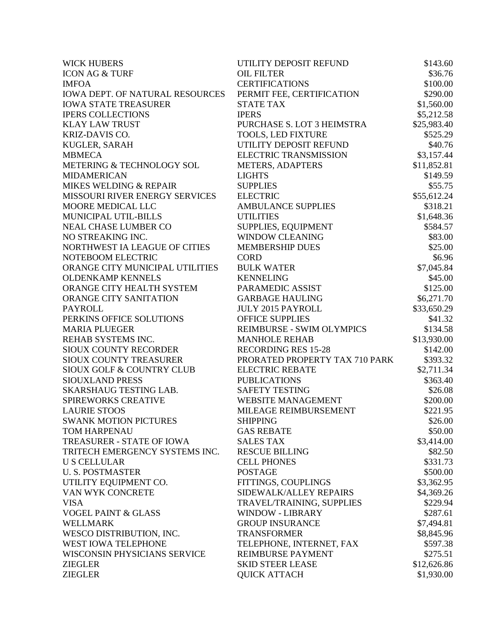| <b>WICK HUBERS</b>                     | UTILITY DEPOSIT REFUND         | \$143.60    |
|----------------------------------------|--------------------------------|-------------|
| <b>ICON AG &amp; TURF</b>              | <b>OIL FILTER</b>              | \$36.76     |
| <b>IMFOA</b>                           | <b>CERTIFICATIONS</b>          | \$100.00    |
| <b>IOWA DEPT. OF NATURAL RESOURCES</b> | PERMIT FEE, CERTIFICATION      | \$290.00    |
| <b>IOWA STATE TREASURER</b>            | <b>STATE TAX</b>               | \$1,560.00  |
| <b>IPERS COLLECTIONS</b>               | <b>IPERS</b>                   | \$5,212.58  |
| <b>KLAY LAW TRUST</b>                  | PURCHASE S. LOT 3 HEIMSTRA     | \$25,983.40 |
| KRIZ-DAVIS CO.                         | <b>TOOLS, LED FIXTURE</b>      | \$525.29    |
| KUGLER, SARAH                          | UTILITY DEPOSIT REFUND         | \$40.76     |
| <b>MBMECA</b>                          | <b>ELECTRIC TRANSMISSION</b>   | \$3,157.44  |
| METERING & TECHNOLOGY SOL              | <b>METERS, ADAPTERS</b>        | \$11,852.81 |
| <b>MIDAMERICAN</b>                     | <b>LIGHTS</b>                  | \$149.59    |
| MIKES WELDING & REPAIR                 | <b>SUPPLIES</b>                | \$55.75     |
| MISSOURI RIVER ENERGY SERVICES         | <b>ELECTRIC</b>                | \$55,612.24 |
| MOORE MEDICAL LLC                      | <b>AMBULANCE SUPPLIES</b>      | \$318.21    |
| MUNICIPAL UTIL-BILLS                   | <b>UTILITIES</b>               | \$1,648.36  |
| <b>NEAL CHASE LUMBER CO</b>            | SUPPLIES, EQUIPMENT            | \$584.57    |
| NO STREAKING INC.                      | <b>WINDOW CLEANING</b>         | \$83.00     |
| NORTHWEST IA LEAGUE OF CITIES          | <b>MEMBERSHIP DUES</b>         | \$25.00     |
| NOTEBOOM ELECTRIC                      | <b>CORD</b>                    | \$6.96      |
| ORANGE CITY MUNICIPAL UTILITIES        | <b>BULK WATER</b>              | \$7,045.84  |
| <b>OLDENKAMP KENNELS</b>               | <b>KENNELING</b>               | \$45.00     |
| ORANGE CITY HEALTH SYSTEM              | PARAMEDIC ASSIST               | \$125.00    |
| ORANGE CITY SANITATION                 | <b>GARBAGE HAULING</b>         | \$6,271.70  |
| <b>PAYROLL</b>                         | <b>JULY 2015 PAYROLL</b>       | \$33,650.29 |
| PERKINS OFFICE SOLUTIONS               | <b>OFFICE SUPPLIES</b>         | \$41.32     |
| <b>MARIA PLUEGER</b>                   | REIMBURSE - SWIM OLYMPICS      | \$134.58    |
| REHAB SYSTEMS INC.                     | <b>MANHOLE REHAB</b>           | \$13,930.00 |
| <b>SIOUX COUNTY RECORDER</b>           | <b>RECORDING RES 15-28</b>     | \$142.00    |
| SIOUX COUNTY TREASURER                 | PRORATED PROPERTY TAX 710 PARK | \$393.32    |
| <b>SIOUX GOLF &amp; COUNTRY CLUB</b>   | <b>ELECTRIC REBATE</b>         | \$2,711.34  |
| SIOUXLAND PRESS                        | <b>PUBLICATIONS</b>            | \$363.40    |
| <b>SKARSHAUG TESTING LAB.</b>          | <b>SAFETY TESTING</b>          | \$26.08     |
| SPIREWORKS CREATIVE                    | <b>WEBSITE MANAGEMENT</b>      | \$200.00    |
| <b>LAURIE STOOS</b>                    | MILEAGE REIMBURSEMENT          | \$221.95    |
| <b>SWANK MOTION PICTURES</b>           | <b>SHIPPING</b>                | \$26.00     |
| TOM HARPENAU                           | <b>GAS REBATE</b>              | \$50.00     |
| TREASURER - STATE OF IOWA              | <b>SALES TAX</b>               | \$3,414.00  |
| TRITECH EMERGENCY SYSTEMS INC.         | <b>RESCUE BILLING</b>          | \$82.50     |
| <b>US CELLULAR</b>                     | <b>CELL PHONES</b>             | \$331.73    |
| <b>U.S. POSTMASTER</b>                 | <b>POSTAGE</b>                 | \$500.00    |
| UTILITY EQUIPMENT CO.                  | FITTINGS, COUPLINGS            | \$3,362.95  |
| VAN WYK CONCRETE                       | SIDEWALK/ALLEY REPAIRS         | \$4,369.26  |
| <b>VISA</b>                            | TRAVEL/TRAINING, SUPPLIES      | \$229.94    |
| <b>VOGEL PAINT &amp; GLASS</b>         | <b>WINDOW - LIBRARY</b>        | \$287.61    |
| <b>WELLMARK</b>                        | <b>GROUP INSURANCE</b>         | \$7,494.81  |
| WESCO DISTRIBUTION, INC.               | <b>TRANSFORMER</b>             | \$8,845.96  |
| WEST IOWA TELEPHONE                    | TELEPHONE, INTERNET, FAX       | \$597.38    |
| WISCONSIN PHYSICIANS SERVICE           | REIMBURSE PAYMENT              | \$275.51    |
| <b>ZIEGLER</b>                         | <b>SKID STEER LEASE</b>        | \$12,626.86 |
| <b>ZIEGLER</b>                         | <b>QUICK ATTACH</b>            | \$1,930.00  |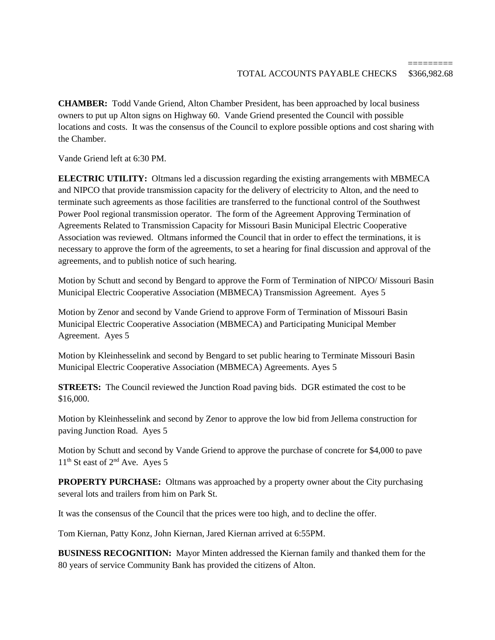**CHAMBER:** Todd Vande Griend, Alton Chamber President, has been approached by local business owners to put up Alton signs on Highway 60. Vande Griend presented the Council with possible locations and costs. It was the consensus of the Council to explore possible options and cost sharing with the Chamber.

Vande Griend left at 6:30 PM.

**ELECTRIC UTILITY:** Oltmans led a discussion regarding the existing arrangements with MBMECA and NIPCO that provide transmission capacity for the delivery of electricity to Alton, and the need to terminate such agreements as those facilities are transferred to the functional control of the Southwest Power Pool regional transmission operator. The form of the Agreement Approving Termination of Agreements Related to Transmission Capacity for Missouri Basin Municipal Electric Cooperative Association was reviewed. Oltmans informed the Council that in order to effect the terminations, it is necessary to approve the form of the agreements, to set a hearing for final discussion and approval of the agreements, and to publish notice of such hearing.

Motion by Schutt and second by Bengard to approve the Form of Termination of NIPCO/ Missouri Basin Municipal Electric Cooperative Association (MBMECA) Transmission Agreement. Ayes 5

Motion by Zenor and second by Vande Griend to approve Form of Termination of Missouri Basin Municipal Electric Cooperative Association (MBMECA) and Participating Municipal Member Agreement. Ayes 5

Motion by Kleinhesselink and second by Bengard to set public hearing to Terminate Missouri Basin Municipal Electric Cooperative Association (MBMECA) Agreements. Ayes 5

**STREETS:** The Council reviewed the Junction Road paving bids. DGR estimated the cost to be \$16,000.

Motion by Kleinhesselink and second by Zenor to approve the low bid from Jellema construction for paving Junction Road. Ayes 5

Motion by Schutt and second by Vande Griend to approve the purchase of concrete for \$4,000 to pave  $11<sup>th</sup>$  St east of  $2<sup>nd</sup>$  Ave. Ayes 5

**PROPERTY PURCHASE:** Oltmans was approached by a property owner about the City purchasing several lots and trailers from him on Park St.

It was the consensus of the Council that the prices were too high, and to decline the offer.

Tom Kiernan, Patty Konz, John Kiernan, Jared Kiernan arrived at 6:55PM.

**BUSINESS RECOGNITION:** Mayor Minten addressed the Kiernan family and thanked them for the 80 years of service Community Bank has provided the citizens of Alton.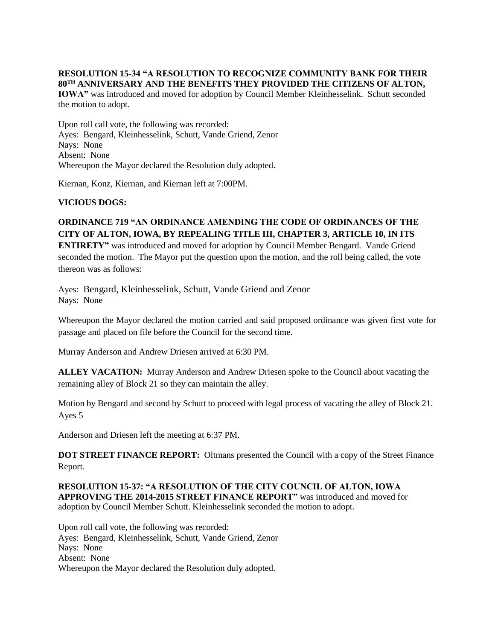#### **RESOLUTION 15-34 "A RESOLUTION TO RECOGNIZE COMMUNITY BANK FOR THEIR 80TH ANNIVERSARY AND THE BENEFITS THEY PROVIDED THE CITIZENS OF ALTON,**

**IOWA"** was introduced and moved for adoption by Council Member Kleinhesselink. Schutt seconded the motion to adopt.

Upon roll call vote, the following was recorded: Ayes: Bengard, Kleinhesselink, Schutt, Vande Griend, Zenor Nays: None Absent: None Whereupon the Mayor declared the Resolution duly adopted.

Kiernan, Konz, Kiernan, and Kiernan left at 7:00PM.

## **VICIOUS DOGS:**

# **ORDINANCE 719 "AN ORDINANCE AMENDING THE CODE OF ORDINANCES OF THE CITY OF ALTON, IOWA, BY REPEALING TITLE III, CHAPTER 3, ARTICLE 10, IN ITS**

**ENTIRETY"** was introduced and moved for adoption by Council Member Bengard. Vande Griend seconded the motion. The Mayor put the question upon the motion, and the roll being called, the vote thereon was as follows:

Ayes: Bengard, Kleinhesselink, Schutt, Vande Griend and Zenor Nays: None

Whereupon the Mayor declared the motion carried and said proposed ordinance was given first vote for passage and placed on file before the Council for the second time.

Murray Anderson and Andrew Driesen arrived at 6:30 PM.

**ALLEY VACATION:** Murray Anderson and Andrew Driesen spoke to the Council about vacating the remaining alley of Block 21 so they can maintain the alley.

Motion by Bengard and second by Schutt to proceed with legal process of vacating the alley of Block 21. Ayes 5

Anderson and Driesen left the meeting at 6:37 PM.

**DOT STREET FINANCE REPORT:** Oltmans presented the Council with a copy of the Street Finance Report.

**RESOLUTION 15-37: "A RESOLUTION OF THE CITY COUNCIL OF ALTON, IOWA APPROVING THE 2014-2015 STREET FINANCE REPORT"** was introduced and moved for adoption by Council Member Schutt. Kleinhesselink seconded the motion to adopt.

Upon roll call vote, the following was recorded: Ayes: Bengard, Kleinhesselink, Schutt, Vande Griend, Zenor Nays: None Absent: None Whereupon the Mayor declared the Resolution duly adopted.